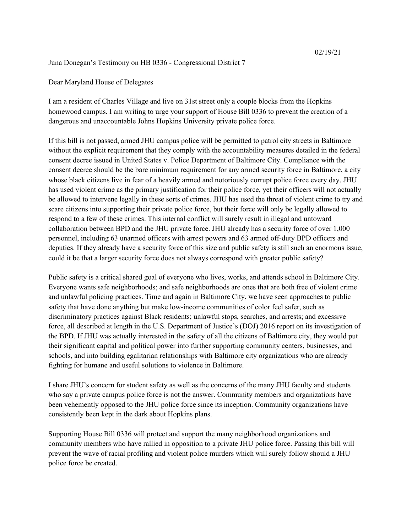Juna Donegan's Testimony on HB 0336 - Congressional District 7

Dear Maryland House of Delegates

I am a resident of Charles Village and live on 31st street only a couple blocks from the Hopkins homewood campus. I am writing to urge your support of House Bill 0336 to prevent the creation of a dangerous and unaccountable Johns Hopkins University private police force.

If this bill is not passed, armed JHU campus police will be permitted to patrol city streets in Baltimore without the explicit requirement that they comply with the accountability measures detailed in the federal consent decree issued in United States v. Police Department of Baltimore City. Compliance with the consent decree should be the bare minimum requirement for any armed security force in Baltimore, a city whose black citizens live in fear of a heavily armed and notoriously corrupt police force every day. JHU has used violent crime as the primary justification for their police force, yet their officers will not actually be allowed to intervene legally in these sorts of crimes. JHU has used the threat of violent crime to try and scare citizens into supporting their private police force, but their force will only be legally allowed to respond to a few of these crimes. This internal conflict will surely result in illegal and untoward collaboration between BPD and the JHU private force. JHU already has a security force of over 1,000 personnel, including 63 unarmed officers with arrest powers and 63 armed off-duty BPD officers and deputies. If they already have a security force of this size and public safety is still such an enormous issue, could it be that a larger security force does not always correspond with greater public safety?

Public safety is a critical shared goal of everyone who lives, works, and attends school in Baltimore City. Everyone wants safe neighborhoods; and safe neighborhoods are ones that are both free of violent crime and unlawful policing practices. Time and again in Baltimore City, we have seen approaches to public safety that have done anything but make low-income communities of color feel safer, such as discriminatory practices against Black residents; unlawful stops, searches, and arrests; and excessive force, all described at length in the U.S. Department of Justice's (DOJ) 2016 report on its investigation of the BPD. If JHU was actually interested in the safety of all the citizens of Baltimore city, they would put their significant capital and political power into further supporting community centers, businesses, and schools, and into building egalitarian relationships with Baltimore city organizations who are already fighting for humane and useful solutions to violence in Baltimore.

I share JHU's concern for student safety as well as the concerns of the many JHU faculty and students who say a private campus police force is not the answer. Community members and organizations have been vehemently opposed to the JHU police force since its inception. Community organizations have consistently been kept in the dark about Hopkins plans.

Supporting House Bill 0336 will protect and support the many neighborhood organizations and community members who have rallied in opposition to a private JHU police force. Passing this bill will prevent the wave of racial profiling and violent police murders which will surely follow should a JHU police force be created.